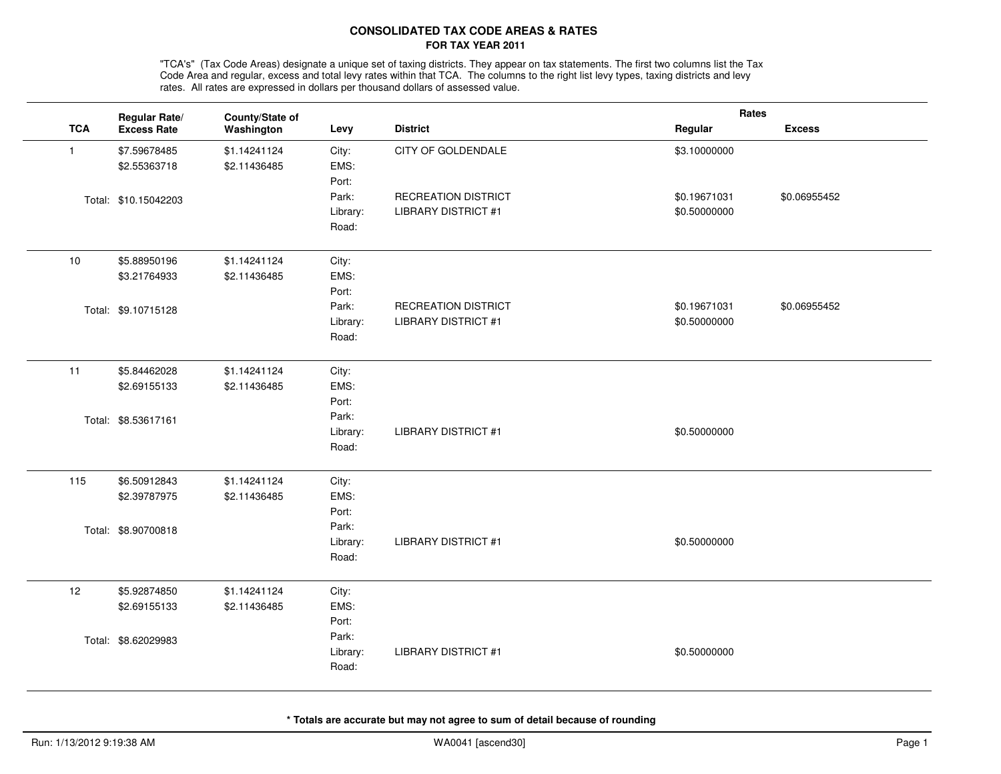## **CONSOLIDATED TAX CODE AREAS & RATESFOR TAX YEAR 2011**

"TCA's" (Tax Code Areas) designate a unique set of taxing districts. They appear on tax statements. The first two columns list the Tax<br>Code Area and regular, excess and total levy rates within that TCA. The columns to the rates. All rates are expressed in dollars per thousand dollars of assessed value.

|              | Regular Rate/        | County/State of |          |                            | Rates        |               |
|--------------|----------------------|-----------------|----------|----------------------------|--------------|---------------|
| <b>TCA</b>   | <b>Excess Rate</b>   | Washington      | Levy     | <b>District</b>            | Regular      | <b>Excess</b> |
| $\mathbf{1}$ | \$7.59678485         | \$1.14241124    | City:    | CITY OF GOLDENDALE         | \$3.10000000 |               |
|              | \$2.55363718         | \$2.11436485    | EMS:     |                            |              |               |
|              |                      |                 | Port:    |                            |              |               |
|              | Total: \$10.15042203 |                 | Park:    | RECREATION DISTRICT        | \$0.19671031 | \$0.06955452  |
|              |                      |                 | Library: | <b>LIBRARY DISTRICT #1</b> | \$0.50000000 |               |
|              |                      |                 | Road:    |                            |              |               |
| 10           | \$5.88950196         | \$1.14241124    | City:    |                            |              |               |
|              | \$3.21764933         | \$2.11436485    | EMS:     |                            |              |               |
|              |                      |                 | Port:    |                            |              |               |
|              | Total: \$9.10715128  |                 | Park:    | RECREATION DISTRICT        | \$0.19671031 | \$0.06955452  |
|              |                      |                 | Library: | <b>LIBRARY DISTRICT #1</b> | \$0.50000000 |               |
|              |                      |                 | Road:    |                            |              |               |
| 11           | \$5.84462028         | \$1.14241124    | City:    |                            |              |               |
|              | \$2.69155133         | \$2.11436485    | EMS:     |                            |              |               |
|              |                      |                 | Port:    |                            |              |               |
|              | Total: \$8.53617161  |                 | Park:    |                            |              |               |
|              |                      |                 | Library: | <b>LIBRARY DISTRICT #1</b> | \$0.50000000 |               |
|              |                      |                 | Road:    |                            |              |               |
| 115          | \$6.50912843         | \$1.14241124    | City:    |                            |              |               |
|              | \$2.39787975         | \$2.11436485    | EMS:     |                            |              |               |
|              |                      |                 | Port:    |                            |              |               |
|              | Total: \$8.90700818  |                 | Park:    |                            |              |               |
|              |                      |                 | Library: | <b>LIBRARY DISTRICT #1</b> | \$0.50000000 |               |
|              |                      |                 | Road:    |                            |              |               |
| 12           | \$5.92874850         | \$1.14241124    | City:    |                            |              |               |
|              | \$2.69155133         | \$2.11436485    | EMS:     |                            |              |               |
|              |                      |                 | Port:    |                            |              |               |
|              | Total: \$8.62029983  |                 | Park:    |                            |              |               |
|              |                      |                 | Library: | <b>LIBRARY DISTRICT #1</b> | \$0.50000000 |               |
|              |                      |                 | Road:    |                            |              |               |
|              |                      |                 |          |                            |              |               |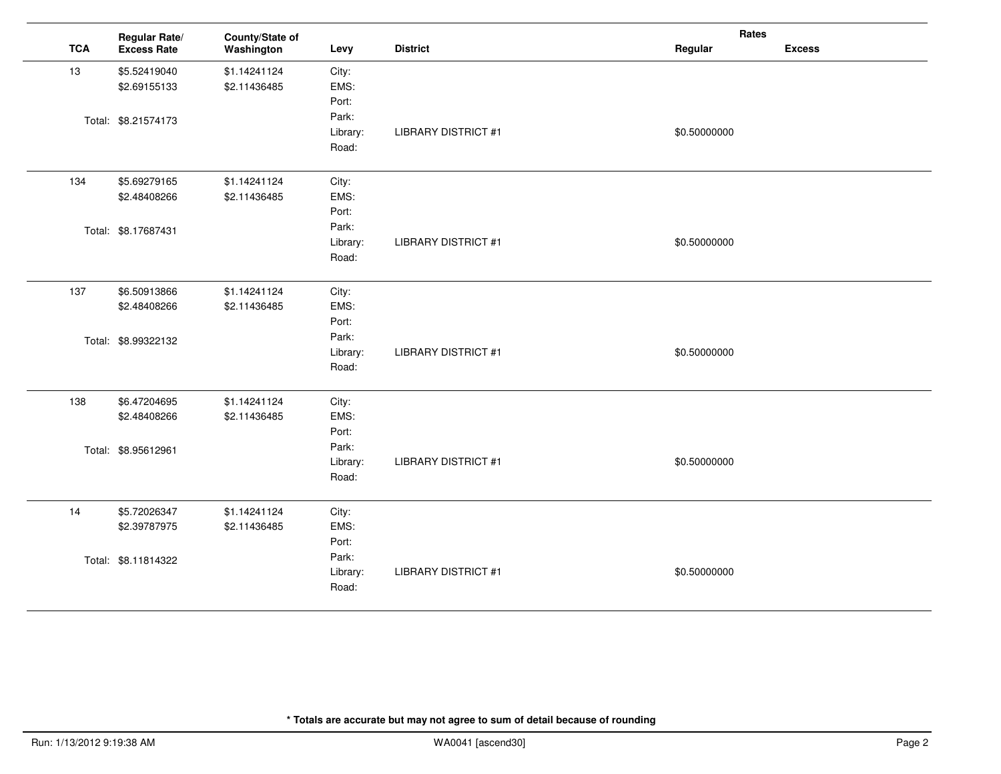|            | Regular Rate/       | County/State of |          |                            | Rates        |               |
|------------|---------------------|-----------------|----------|----------------------------|--------------|---------------|
| <b>TCA</b> | <b>Excess Rate</b>  | Washington      | Levy     | <b>District</b>            | Regular      | <b>Excess</b> |
| 13         | \$5.52419040        | \$1.14241124    | City:    |                            |              |               |
|            | \$2.69155133        | \$2.11436485    | EMS:     |                            |              |               |
|            |                     |                 | Port:    |                            |              |               |
|            | Total: \$8.21574173 |                 | Park:    |                            |              |               |
|            |                     |                 | Library: | <b>LIBRARY DISTRICT #1</b> | \$0.50000000 |               |
|            |                     |                 | Road:    |                            |              |               |
| 134        | \$5.69279165        | \$1.14241124    | City:    |                            |              |               |
|            | \$2.48408266        | \$2.11436485    | EMS:     |                            |              |               |
|            |                     |                 | Port:    |                            |              |               |
|            | Total: \$8.17687431 |                 | Park:    |                            |              |               |
|            |                     |                 | Library: | <b>LIBRARY DISTRICT #1</b> | \$0.50000000 |               |
|            |                     |                 | Road:    |                            |              |               |
| 137        | \$6.50913866        | \$1.14241124    | City:    |                            |              |               |
|            | \$2.48408266        | \$2.11436485    | EMS:     |                            |              |               |
|            |                     |                 | Port:    |                            |              |               |
|            | Total: \$8.99322132 |                 | Park:    |                            |              |               |
|            |                     |                 | Library: | <b>LIBRARY DISTRICT #1</b> | \$0.50000000 |               |
|            |                     |                 | Road:    |                            |              |               |
| 138        | \$6.47204695        | \$1.14241124    | City:    |                            |              |               |
|            | \$2.48408266        | \$2.11436485    | EMS:     |                            |              |               |
|            |                     |                 | Port:    |                            |              |               |
|            | Total: \$8.95612961 |                 | Park:    |                            |              |               |
|            |                     |                 | Library: | <b>LIBRARY DISTRICT #1</b> | \$0.50000000 |               |
|            |                     |                 | Road:    |                            |              |               |
| 14         | \$5.72026347        | \$1.14241124    | City:    |                            |              |               |
|            | \$2.39787975        | \$2.11436485    | EMS:     |                            |              |               |
|            |                     |                 | Port:    |                            |              |               |
|            | Total: \$8.11814322 |                 | Park:    |                            |              |               |
|            |                     |                 | Library: | <b>LIBRARY DISTRICT #1</b> | \$0.50000000 |               |
|            |                     |                 | Road:    |                            |              |               |
|            |                     |                 |          |                            |              |               |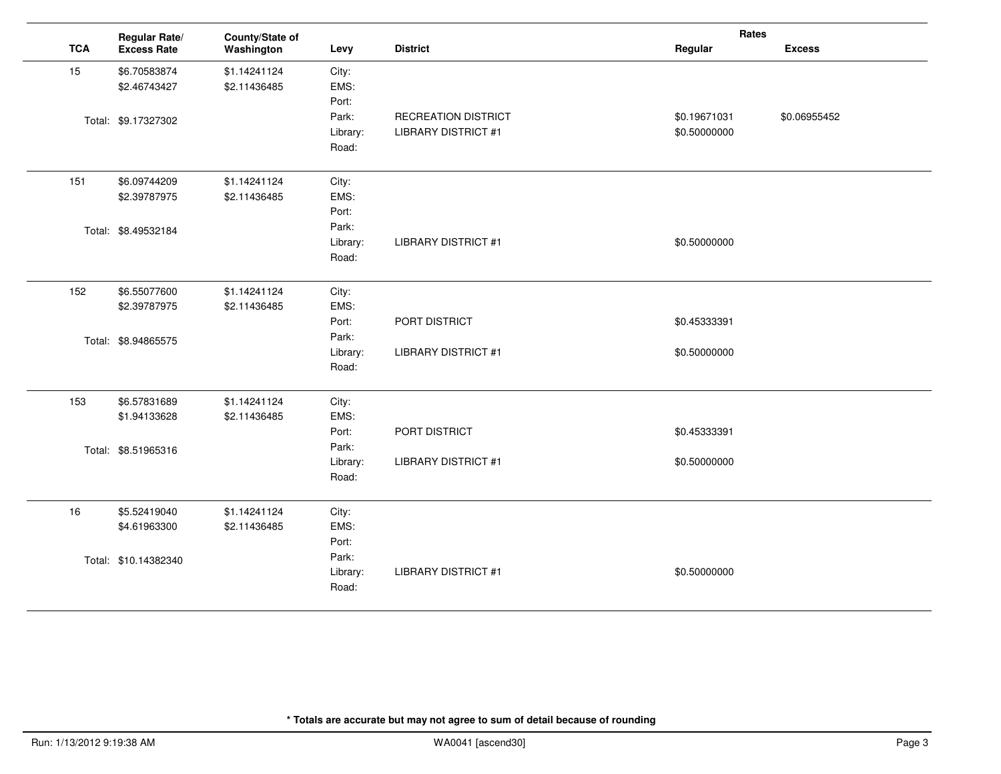|            | Regular Rate/        | County/State of |          |                            | Rates        |               |
|------------|----------------------|-----------------|----------|----------------------------|--------------|---------------|
| <b>TCA</b> | <b>Excess Rate</b>   | Washington      | Levy     | <b>District</b>            | Regular      | <b>Excess</b> |
| 15         | \$6.70583874         | \$1.14241124    | City:    |                            |              |               |
|            | \$2.46743427         | \$2.11436485    | EMS:     |                            |              |               |
|            |                      |                 | Port:    |                            |              |               |
|            | Total: \$9.17327302  |                 | Park:    | RECREATION DISTRICT        | \$0.19671031 | \$0.06955452  |
|            |                      |                 | Library: | <b>LIBRARY DISTRICT #1</b> | \$0.50000000 |               |
|            |                      |                 | Road:    |                            |              |               |
| 151        | \$6.09744209         | \$1.14241124    | City:    |                            |              |               |
|            | \$2.39787975         | \$2.11436485    | EMS:     |                            |              |               |
|            |                      |                 | Port:    |                            |              |               |
|            | Total: \$8.49532184  |                 | Park:    |                            |              |               |
|            |                      |                 | Library: | <b>LIBRARY DISTRICT #1</b> | \$0.50000000 |               |
|            |                      |                 | Road:    |                            |              |               |
| 152        | \$6.55077600         | \$1.14241124    | City:    |                            |              |               |
|            | \$2.39787975         | \$2.11436485    | EMS:     |                            |              |               |
|            |                      |                 | Port:    | PORT DISTRICT              | \$0.45333391 |               |
|            | Total: \$8.94865575  |                 | Park:    |                            |              |               |
|            |                      |                 | Library: | <b>LIBRARY DISTRICT #1</b> | \$0.50000000 |               |
|            |                      |                 | Road:    |                            |              |               |
| 153        | \$6.57831689         | \$1.14241124    | City:    |                            |              |               |
|            | \$1.94133628         | \$2.11436485    | EMS:     |                            |              |               |
|            |                      |                 | Port:    | PORT DISTRICT              | \$0.45333391 |               |
|            | Total: \$8.51965316  |                 | Park:    |                            |              |               |
|            |                      |                 | Library: | <b>LIBRARY DISTRICT #1</b> | \$0.50000000 |               |
|            |                      |                 | Road:    |                            |              |               |
| 16         | \$5.52419040         | \$1.14241124    | City:    |                            |              |               |
|            | \$4.61963300         | \$2.11436485    | EMS:     |                            |              |               |
|            |                      |                 | Port:    |                            |              |               |
|            | Total: \$10.14382340 |                 | Park:    |                            |              |               |
|            |                      |                 | Library: | <b>LIBRARY DISTRICT #1</b> | \$0.50000000 |               |
|            |                      |                 | Road:    |                            |              |               |
|            |                      |                 |          |                            |              |               |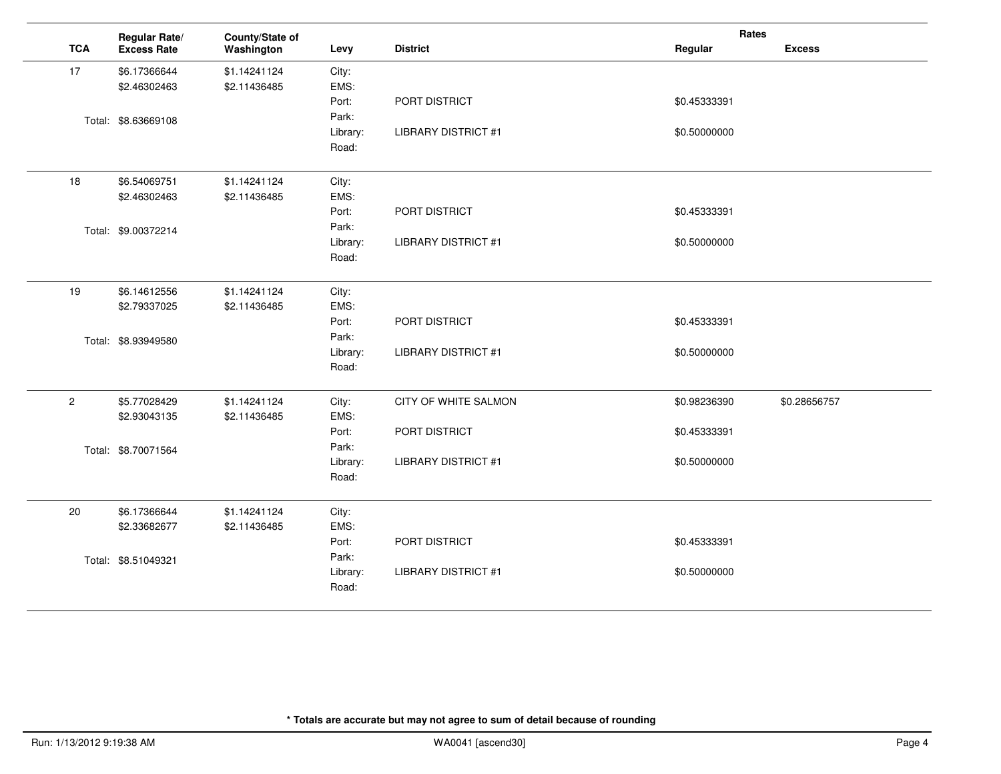|              | Regular Rate/       | County/State of |          |                            | Rates        |               |
|--------------|---------------------|-----------------|----------|----------------------------|--------------|---------------|
| <b>TCA</b>   | <b>Excess Rate</b>  | Washington      | Levy     | <b>District</b>            | Regular      | <b>Excess</b> |
| 17           | \$6.17366644        | \$1.14241124    | City:    |                            |              |               |
|              | \$2.46302463        | \$2.11436485    | EMS:     |                            |              |               |
|              |                     |                 | Port:    | PORT DISTRICT              | \$0.45333391 |               |
|              | Total: \$8.63669108 |                 | Park:    |                            |              |               |
|              |                     |                 | Library: | <b>LIBRARY DISTRICT #1</b> | \$0.50000000 |               |
|              |                     |                 | Road:    |                            |              |               |
| 18           | \$6.54069751        | \$1.14241124    | City:    |                            |              |               |
|              | \$2.46302463        | \$2.11436485    | EMS:     |                            |              |               |
|              |                     |                 | Port:    | PORT DISTRICT              | \$0.45333391 |               |
|              | Total: \$9.00372214 |                 | Park:    |                            |              |               |
|              |                     |                 | Library: | <b>LIBRARY DISTRICT #1</b> | \$0.50000000 |               |
|              |                     |                 | Road:    |                            |              |               |
| 19           | \$6.14612556        | \$1.14241124    | City:    |                            |              |               |
|              | \$2.79337025        | \$2.11436485    | EMS:     |                            |              |               |
|              |                     |                 | Port:    | PORT DISTRICT              | \$0.45333391 |               |
|              | Total: \$8.93949580 |                 | Park:    |                            |              |               |
|              |                     |                 | Library: | <b>LIBRARY DISTRICT #1</b> | \$0.50000000 |               |
|              |                     |                 | Road:    |                            |              |               |
| $\mathbf{2}$ | \$5.77028429        | \$1.14241124    | City:    | CITY OF WHITE SALMON       | \$0.98236390 | \$0.28656757  |
|              | \$2.93043135        | \$2.11436485    | EMS:     |                            |              |               |
|              |                     |                 | Port:    | PORT DISTRICT              | \$0.45333391 |               |
|              | Total: \$8.70071564 |                 | Park:    |                            |              |               |
|              |                     |                 | Library: | <b>LIBRARY DISTRICT #1</b> | \$0.50000000 |               |
|              |                     |                 | Road:    |                            |              |               |
| 20           | \$6.17366644        | \$1.14241124    | City:    |                            |              |               |
|              | \$2.33682677        | \$2.11436485    | EMS:     |                            |              |               |
|              |                     |                 | Port:    | PORT DISTRICT              | \$0.45333391 |               |
|              | Total: \$8.51049321 |                 | Park:    |                            |              |               |
|              |                     |                 | Library: | <b>LIBRARY DISTRICT #1</b> | \$0.50000000 |               |
|              |                     |                 | Road:    |                            |              |               |
|              |                     |                 |          |                            |              |               |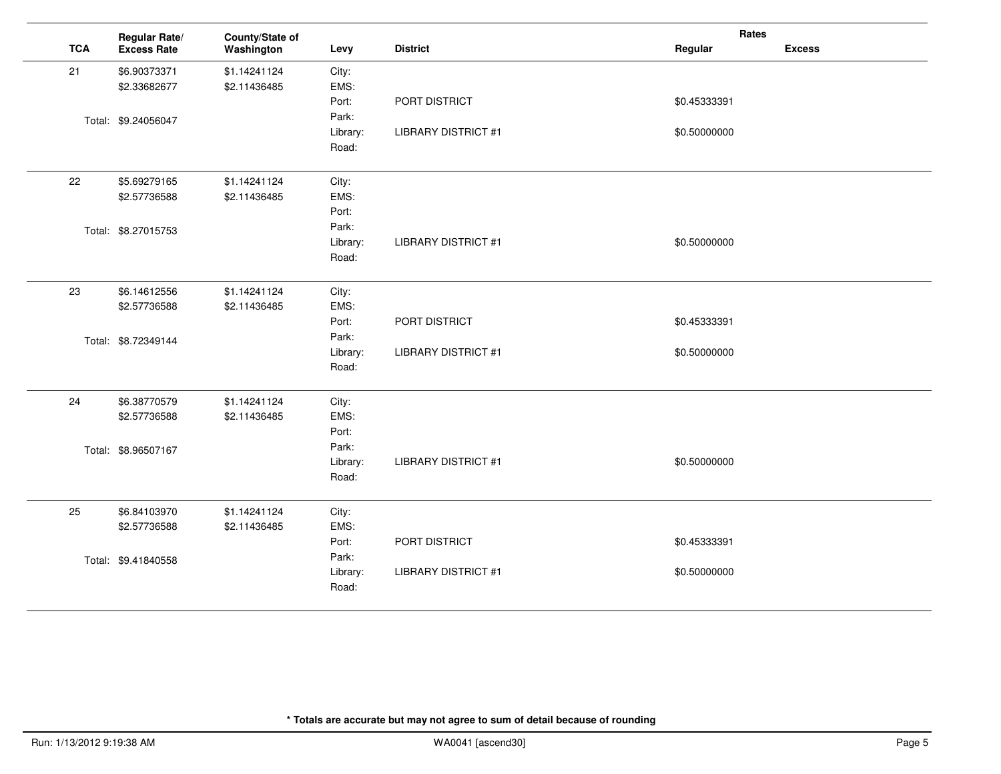|            | Regular Rate/       | County/State of |          |                            | Rates        |               |
|------------|---------------------|-----------------|----------|----------------------------|--------------|---------------|
| <b>TCA</b> | <b>Excess Rate</b>  | Washington      | Levy     | <b>District</b>            | Regular      | <b>Excess</b> |
| 21         | \$6.90373371        | \$1.14241124    | City:    |                            |              |               |
|            | \$2.33682677        | \$2.11436485    | EMS:     |                            |              |               |
|            |                     |                 | Port:    | PORT DISTRICT              | \$0.45333391 |               |
|            | Total: \$9.24056047 |                 | Park:    |                            |              |               |
|            |                     |                 | Library: | <b>LIBRARY DISTRICT #1</b> | \$0.50000000 |               |
|            |                     |                 | Road:    |                            |              |               |
| 22         | \$5.69279165        | \$1.14241124    | City:    |                            |              |               |
|            | \$2.57736588        | \$2.11436485    | EMS:     |                            |              |               |
|            |                     |                 | Port:    |                            |              |               |
|            | Total: \$8.27015753 |                 | Park:    |                            |              |               |
|            |                     |                 | Library: | <b>LIBRARY DISTRICT #1</b> | \$0.50000000 |               |
|            |                     |                 | Road:    |                            |              |               |
| 23         | \$6.14612556        | \$1.14241124    | City:    |                            |              |               |
|            | \$2.57736588        | \$2.11436485    | EMS:     |                            |              |               |
|            |                     |                 | Port:    | PORT DISTRICT              | \$0.45333391 |               |
|            | Total: \$8.72349144 |                 | Park:    |                            |              |               |
|            |                     |                 | Library: | <b>LIBRARY DISTRICT #1</b> | \$0.50000000 |               |
|            |                     |                 | Road:    |                            |              |               |
| 24         | \$6.38770579        | \$1.14241124    | City:    |                            |              |               |
|            | \$2.57736588        | \$2.11436485    | EMS:     |                            |              |               |
|            |                     |                 | Port:    |                            |              |               |
|            | Total: \$8.96507167 |                 | Park:    |                            |              |               |
|            |                     |                 | Library: | <b>LIBRARY DISTRICT #1</b> | \$0.50000000 |               |
|            |                     |                 | Road:    |                            |              |               |
| 25         | \$6.84103970        | \$1.14241124    | City:    |                            |              |               |
|            | \$2.57736588        | \$2.11436485    | EMS:     |                            |              |               |
|            |                     |                 | Port:    | PORT DISTRICT              | \$0.45333391 |               |
|            | Total: \$9.41840558 |                 | Park:    |                            |              |               |
|            |                     |                 | Library: | <b>LIBRARY DISTRICT #1</b> | \$0.50000000 |               |
|            |                     |                 | Road:    |                            |              |               |
|            |                     |                 |          |                            |              |               |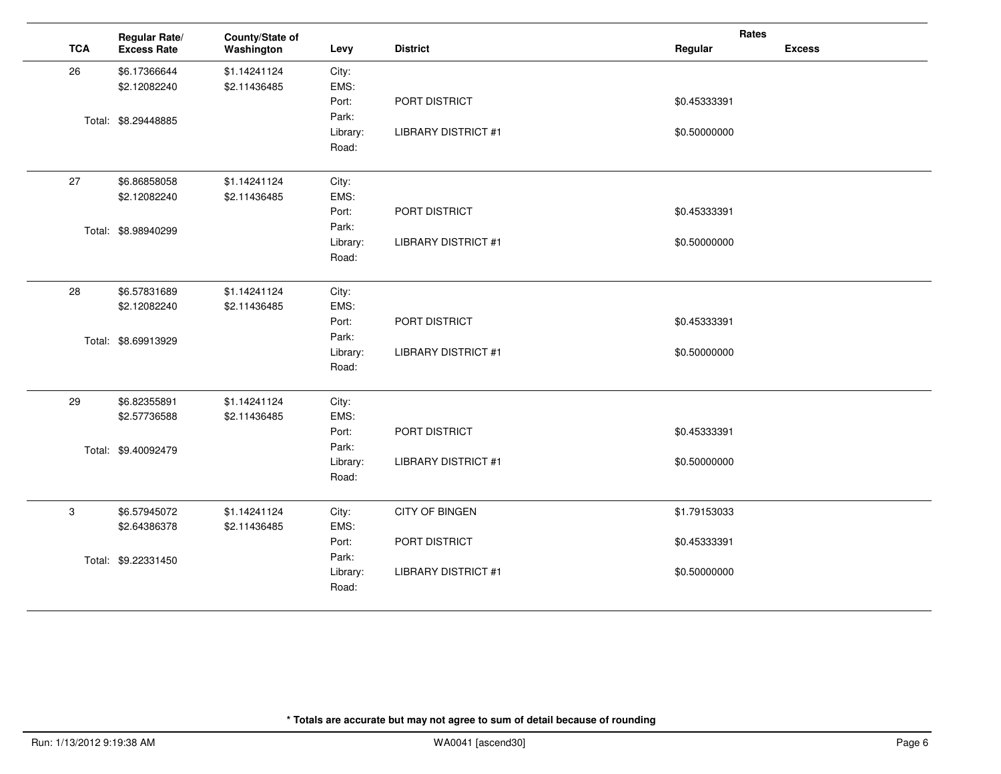| <b>TCA</b><br><b>District</b><br>Regular<br><b>Excess</b><br><b>Excess Rate</b><br>Washington<br>Levy<br>26<br>\$6.17366644<br>\$1.14241124<br>City:<br>EMS:<br>\$2.11436485<br>\$2.12082240<br>Port:<br>PORT DISTRICT<br>\$0.45333391<br>Park:<br>Total: \$8.29448885<br>Library:<br><b>LIBRARY DISTRICT #1</b><br>\$0.50000000<br>Road:<br>27<br>\$6.86858058<br>\$1.14241124<br>City:<br>EMS:<br>\$2.12082240<br>\$2.11436485<br>Port:<br>PORT DISTRICT<br>\$0.45333391<br>Park:<br>Total: \$8.98940299<br>Library:<br><b>LIBRARY DISTRICT #1</b><br>\$0.50000000<br>Road:<br>28<br>\$6.57831689<br>\$1.14241124<br>City:<br>EMS:<br>\$2.12082240<br>\$2.11436485<br>Port:<br>PORT DISTRICT<br>\$0.45333391<br>Park:<br>Total: \$8.69913929<br>Library:<br><b>LIBRARY DISTRICT #1</b><br>\$0.50000000<br>Road:<br>City:<br>29<br>\$6.82355891<br>\$1.14241124<br>EMS:<br>\$2.57736588<br>\$2.11436485<br>Port:<br>PORT DISTRICT<br>\$0.45333391<br>Park:<br>Total: \$9.40092479<br>Library:<br><b>LIBRARY DISTRICT #1</b><br>\$0.50000000<br>Road:<br>3<br>\$6.57945072<br>\$1.14241124<br>City:<br><b>CITY OF BINGEN</b><br>\$1.79153033<br>EMS:<br>\$2.64386378<br>\$2.11436485<br>PORT DISTRICT<br>Port:<br>\$0.45333391<br>Park:<br>Total: \$9.22331450<br>Library:<br><b>LIBRARY DISTRICT #1</b><br>\$0.50000000 | Regular Rate/ | County/State of |  | Rates |  |
|--------------------------------------------------------------------------------------------------------------------------------------------------------------------------------------------------------------------------------------------------------------------------------------------------------------------------------------------------------------------------------------------------------------------------------------------------------------------------------------------------------------------------------------------------------------------------------------------------------------------------------------------------------------------------------------------------------------------------------------------------------------------------------------------------------------------------------------------------------------------------------------------------------------------------------------------------------------------------------------------------------------------------------------------------------------------------------------------------------------------------------------------------------------------------------------------------------------------------------------------------------------------------------------------------------------------------|---------------|-----------------|--|-------|--|
|                                                                                                                                                                                                                                                                                                                                                                                                                                                                                                                                                                                                                                                                                                                                                                                                                                                                                                                                                                                                                                                                                                                                                                                                                                                                                                                          |               |                 |  |       |  |
|                                                                                                                                                                                                                                                                                                                                                                                                                                                                                                                                                                                                                                                                                                                                                                                                                                                                                                                                                                                                                                                                                                                                                                                                                                                                                                                          |               |                 |  |       |  |
|                                                                                                                                                                                                                                                                                                                                                                                                                                                                                                                                                                                                                                                                                                                                                                                                                                                                                                                                                                                                                                                                                                                                                                                                                                                                                                                          |               |                 |  |       |  |
|                                                                                                                                                                                                                                                                                                                                                                                                                                                                                                                                                                                                                                                                                                                                                                                                                                                                                                                                                                                                                                                                                                                                                                                                                                                                                                                          |               |                 |  |       |  |
|                                                                                                                                                                                                                                                                                                                                                                                                                                                                                                                                                                                                                                                                                                                                                                                                                                                                                                                                                                                                                                                                                                                                                                                                                                                                                                                          |               |                 |  |       |  |
|                                                                                                                                                                                                                                                                                                                                                                                                                                                                                                                                                                                                                                                                                                                                                                                                                                                                                                                                                                                                                                                                                                                                                                                                                                                                                                                          |               |                 |  |       |  |
|                                                                                                                                                                                                                                                                                                                                                                                                                                                                                                                                                                                                                                                                                                                                                                                                                                                                                                                                                                                                                                                                                                                                                                                                                                                                                                                          |               |                 |  |       |  |
|                                                                                                                                                                                                                                                                                                                                                                                                                                                                                                                                                                                                                                                                                                                                                                                                                                                                                                                                                                                                                                                                                                                                                                                                                                                                                                                          |               |                 |  |       |  |
|                                                                                                                                                                                                                                                                                                                                                                                                                                                                                                                                                                                                                                                                                                                                                                                                                                                                                                                                                                                                                                                                                                                                                                                                                                                                                                                          |               |                 |  |       |  |
|                                                                                                                                                                                                                                                                                                                                                                                                                                                                                                                                                                                                                                                                                                                                                                                                                                                                                                                                                                                                                                                                                                                                                                                                                                                                                                                          |               |                 |  |       |  |
|                                                                                                                                                                                                                                                                                                                                                                                                                                                                                                                                                                                                                                                                                                                                                                                                                                                                                                                                                                                                                                                                                                                                                                                                                                                                                                                          |               |                 |  |       |  |
|                                                                                                                                                                                                                                                                                                                                                                                                                                                                                                                                                                                                                                                                                                                                                                                                                                                                                                                                                                                                                                                                                                                                                                                                                                                                                                                          |               |                 |  |       |  |
|                                                                                                                                                                                                                                                                                                                                                                                                                                                                                                                                                                                                                                                                                                                                                                                                                                                                                                                                                                                                                                                                                                                                                                                                                                                                                                                          |               |                 |  |       |  |
|                                                                                                                                                                                                                                                                                                                                                                                                                                                                                                                                                                                                                                                                                                                                                                                                                                                                                                                                                                                                                                                                                                                                                                                                                                                                                                                          |               |                 |  |       |  |
|                                                                                                                                                                                                                                                                                                                                                                                                                                                                                                                                                                                                                                                                                                                                                                                                                                                                                                                                                                                                                                                                                                                                                                                                                                                                                                                          |               |                 |  |       |  |
|                                                                                                                                                                                                                                                                                                                                                                                                                                                                                                                                                                                                                                                                                                                                                                                                                                                                                                                                                                                                                                                                                                                                                                                                                                                                                                                          |               |                 |  |       |  |
|                                                                                                                                                                                                                                                                                                                                                                                                                                                                                                                                                                                                                                                                                                                                                                                                                                                                                                                                                                                                                                                                                                                                                                                                                                                                                                                          |               |                 |  |       |  |
|                                                                                                                                                                                                                                                                                                                                                                                                                                                                                                                                                                                                                                                                                                                                                                                                                                                                                                                                                                                                                                                                                                                                                                                                                                                                                                                          |               |                 |  |       |  |
|                                                                                                                                                                                                                                                                                                                                                                                                                                                                                                                                                                                                                                                                                                                                                                                                                                                                                                                                                                                                                                                                                                                                                                                                                                                                                                                          |               |                 |  |       |  |
|                                                                                                                                                                                                                                                                                                                                                                                                                                                                                                                                                                                                                                                                                                                                                                                                                                                                                                                                                                                                                                                                                                                                                                                                                                                                                                                          |               |                 |  |       |  |
|                                                                                                                                                                                                                                                                                                                                                                                                                                                                                                                                                                                                                                                                                                                                                                                                                                                                                                                                                                                                                                                                                                                                                                                                                                                                                                                          |               |                 |  |       |  |
|                                                                                                                                                                                                                                                                                                                                                                                                                                                                                                                                                                                                                                                                                                                                                                                                                                                                                                                                                                                                                                                                                                                                                                                                                                                                                                                          |               |                 |  |       |  |
|                                                                                                                                                                                                                                                                                                                                                                                                                                                                                                                                                                                                                                                                                                                                                                                                                                                                                                                                                                                                                                                                                                                                                                                                                                                                                                                          |               |                 |  |       |  |
|                                                                                                                                                                                                                                                                                                                                                                                                                                                                                                                                                                                                                                                                                                                                                                                                                                                                                                                                                                                                                                                                                                                                                                                                                                                                                                                          |               |                 |  |       |  |
|                                                                                                                                                                                                                                                                                                                                                                                                                                                                                                                                                                                                                                                                                                                                                                                                                                                                                                                                                                                                                                                                                                                                                                                                                                                                                                                          |               |                 |  |       |  |
|                                                                                                                                                                                                                                                                                                                                                                                                                                                                                                                                                                                                                                                                                                                                                                                                                                                                                                                                                                                                                                                                                                                                                                                                                                                                                                                          |               |                 |  |       |  |
|                                                                                                                                                                                                                                                                                                                                                                                                                                                                                                                                                                                                                                                                                                                                                                                                                                                                                                                                                                                                                                                                                                                                                                                                                                                                                                                          |               |                 |  |       |  |
|                                                                                                                                                                                                                                                                                                                                                                                                                                                                                                                                                                                                                                                                                                                                                                                                                                                                                                                                                                                                                                                                                                                                                                                                                                                                                                                          |               |                 |  |       |  |
|                                                                                                                                                                                                                                                                                                                                                                                                                                                                                                                                                                                                                                                                                                                                                                                                                                                                                                                                                                                                                                                                                                                                                                                                                                                                                                                          |               |                 |  |       |  |
|                                                                                                                                                                                                                                                                                                                                                                                                                                                                                                                                                                                                                                                                                                                                                                                                                                                                                                                                                                                                                                                                                                                                                                                                                                                                                                                          |               |                 |  |       |  |
| Road:                                                                                                                                                                                                                                                                                                                                                                                                                                                                                                                                                                                                                                                                                                                                                                                                                                                                                                                                                                                                                                                                                                                                                                                                                                                                                                                    |               |                 |  |       |  |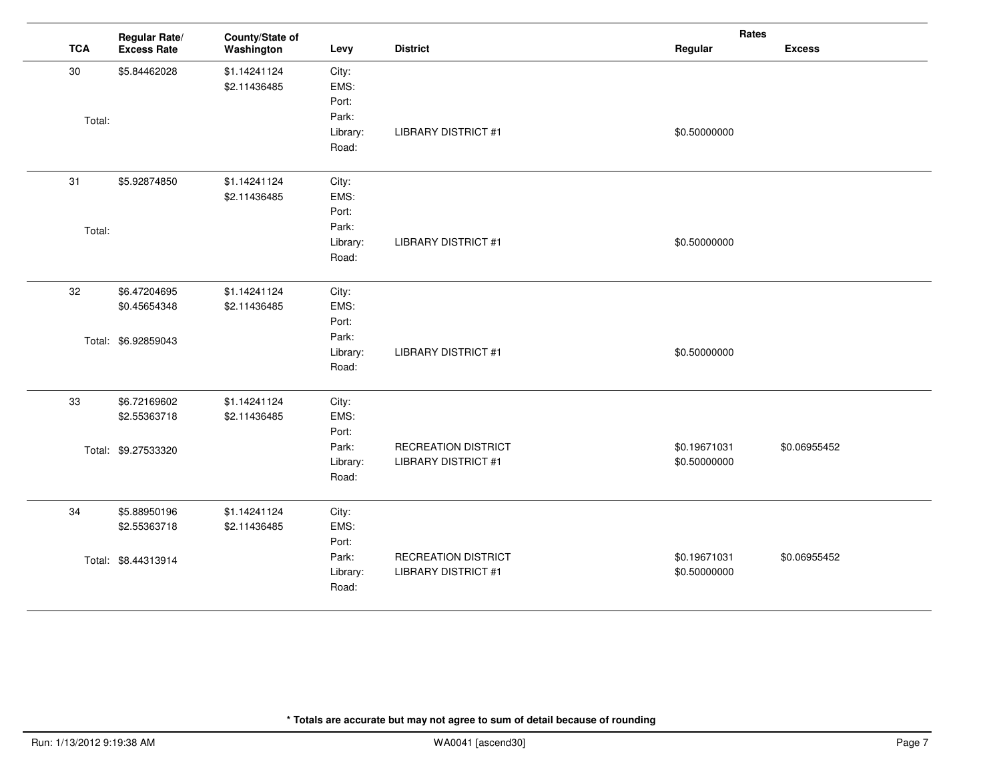|            | Regular Rate/       | County/State of |                   |                            | Rates        |               |
|------------|---------------------|-----------------|-------------------|----------------------------|--------------|---------------|
| <b>TCA</b> | <b>Excess Rate</b>  | Washington      | Levy              | <b>District</b>            | Regular      | <b>Excess</b> |
| 30         | \$5.84462028        | \$1.14241124    | City:             |                            |              |               |
|            |                     | \$2.11436485    | EMS:              |                            |              |               |
|            |                     |                 | Port:             |                            |              |               |
| Total:     |                     |                 | Park:             |                            |              |               |
|            |                     |                 | Library:<br>Road: | <b>LIBRARY DISTRICT #1</b> | \$0.50000000 |               |
|            |                     |                 |                   |                            |              |               |
| 31         | \$5.92874850        | \$1.14241124    | City:             |                            |              |               |
|            |                     | \$2.11436485    | EMS:              |                            |              |               |
|            |                     |                 | Port:             |                            |              |               |
| Total:     |                     |                 | Park:             |                            |              |               |
|            |                     |                 | Library:          | <b>LIBRARY DISTRICT #1</b> | \$0.50000000 |               |
|            |                     |                 | Road:             |                            |              |               |
| 32         | \$6.47204695        | \$1.14241124    | City:             |                            |              |               |
|            | \$0.45654348        | \$2.11436485    | EMS:              |                            |              |               |
|            |                     |                 | Port:             |                            |              |               |
|            | Total: \$6.92859043 |                 | Park:             |                            |              |               |
|            |                     |                 | Library:          | <b>LIBRARY DISTRICT #1</b> | \$0.50000000 |               |
|            |                     |                 | Road:             |                            |              |               |
| 33         | \$6.72169602        | \$1.14241124    | City:             |                            |              |               |
|            | \$2.55363718        | \$2.11436485    | EMS:              |                            |              |               |
|            |                     |                 | Port:             |                            |              |               |
|            | Total: \$9.27533320 |                 | Park:             | <b>RECREATION DISTRICT</b> | \$0.19671031 | \$0.06955452  |
|            |                     |                 | Library:          | <b>LIBRARY DISTRICT #1</b> | \$0.50000000 |               |
|            |                     |                 | Road:             |                            |              |               |
| 34         | \$5.88950196        | \$1.14241124    | City:             |                            |              |               |
|            | \$2.55363718        | \$2.11436485    | EMS:              |                            |              |               |
|            |                     |                 | Port:             |                            |              |               |
|            | Total: \$8.44313914 |                 | Park:             | <b>RECREATION DISTRICT</b> | \$0.19671031 | \$0.06955452  |
|            |                     |                 | Library:          | <b>LIBRARY DISTRICT #1</b> | \$0.50000000 |               |
|            |                     |                 | Road:             |                            |              |               |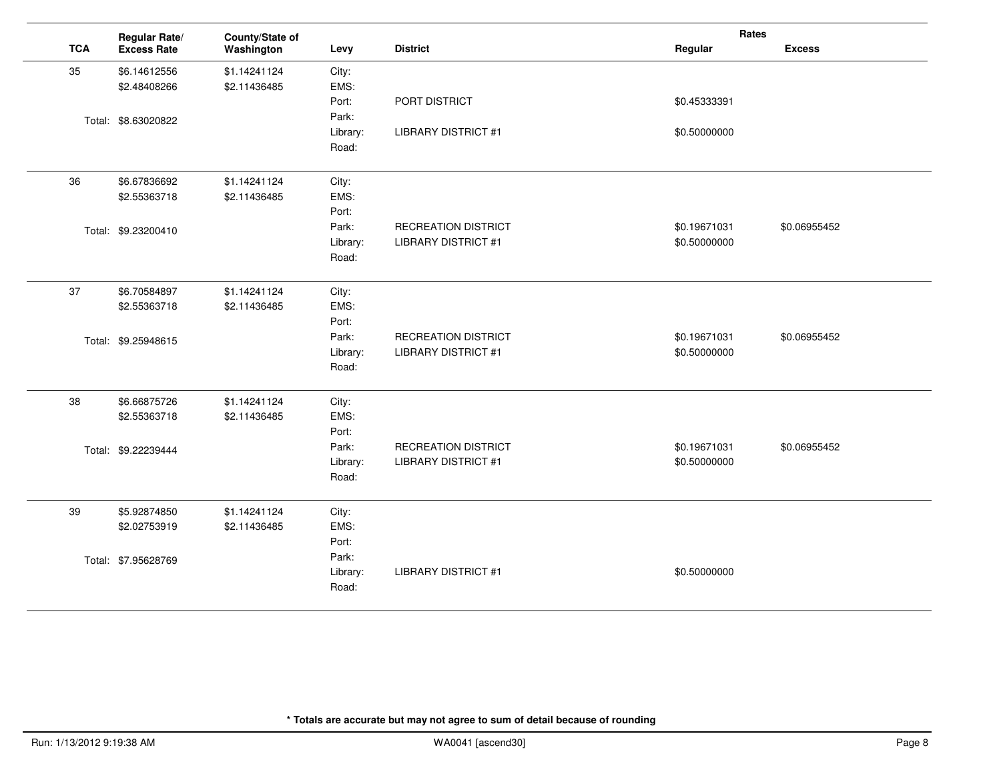|            | Regular Rate/       | County/State of |          |                            | Rates        |               |
|------------|---------------------|-----------------|----------|----------------------------|--------------|---------------|
| <b>TCA</b> | <b>Excess Rate</b>  | Washington      | Levy     | <b>District</b>            | Regular      | <b>Excess</b> |
| 35         | \$6.14612556        | \$1.14241124    | City:    |                            |              |               |
|            | \$2.48408266        | \$2.11436485    | EMS:     |                            |              |               |
|            |                     |                 | Port:    | PORT DISTRICT              | \$0.45333391 |               |
|            | Total: \$8.63020822 |                 | Park:    |                            |              |               |
|            |                     |                 | Library: | <b>LIBRARY DISTRICT #1</b> | \$0.50000000 |               |
|            |                     |                 | Road:    |                            |              |               |
| 36         | \$6.67836692        | \$1.14241124    | City:    |                            |              |               |
|            | \$2.55363718        | \$2.11436485    | EMS:     |                            |              |               |
|            |                     |                 | Port:    |                            |              |               |
|            | Total: \$9.23200410 |                 | Park:    | <b>RECREATION DISTRICT</b> | \$0.19671031 | \$0.06955452  |
|            |                     |                 | Library: | <b>LIBRARY DISTRICT #1</b> | \$0.50000000 |               |
|            |                     |                 | Road:    |                            |              |               |
| 37         | \$6.70584897        | \$1.14241124    | City:    |                            |              |               |
|            | \$2.55363718        | \$2.11436485    | EMS:     |                            |              |               |
|            |                     |                 | Port:    |                            |              |               |
|            | Total: \$9.25948615 |                 | Park:    | <b>RECREATION DISTRICT</b> | \$0.19671031 | \$0.06955452  |
|            |                     |                 | Library: | <b>LIBRARY DISTRICT #1</b> | \$0.50000000 |               |
|            |                     |                 | Road:    |                            |              |               |
| 38         | \$6.66875726        | \$1.14241124    | City:    |                            |              |               |
|            | \$2.55363718        | \$2.11436485    | EMS:     |                            |              |               |
|            |                     |                 | Port:    |                            |              |               |
|            | Total: \$9.22239444 |                 | Park:    | <b>RECREATION DISTRICT</b> | \$0.19671031 | \$0.06955452  |
|            |                     |                 | Library: | <b>LIBRARY DISTRICT #1</b> | \$0.50000000 |               |
|            |                     |                 | Road:    |                            |              |               |
| 39         | \$5.92874850        | \$1.14241124    | City:    |                            |              |               |
|            | \$2.02753919        | \$2.11436485    | EMS:     |                            |              |               |
|            |                     |                 | Port:    |                            |              |               |
|            | Total: \$7.95628769 |                 | Park:    |                            |              |               |
|            |                     |                 | Library: | <b>LIBRARY DISTRICT #1</b> | \$0.50000000 |               |
|            |                     |                 | Road:    |                            |              |               |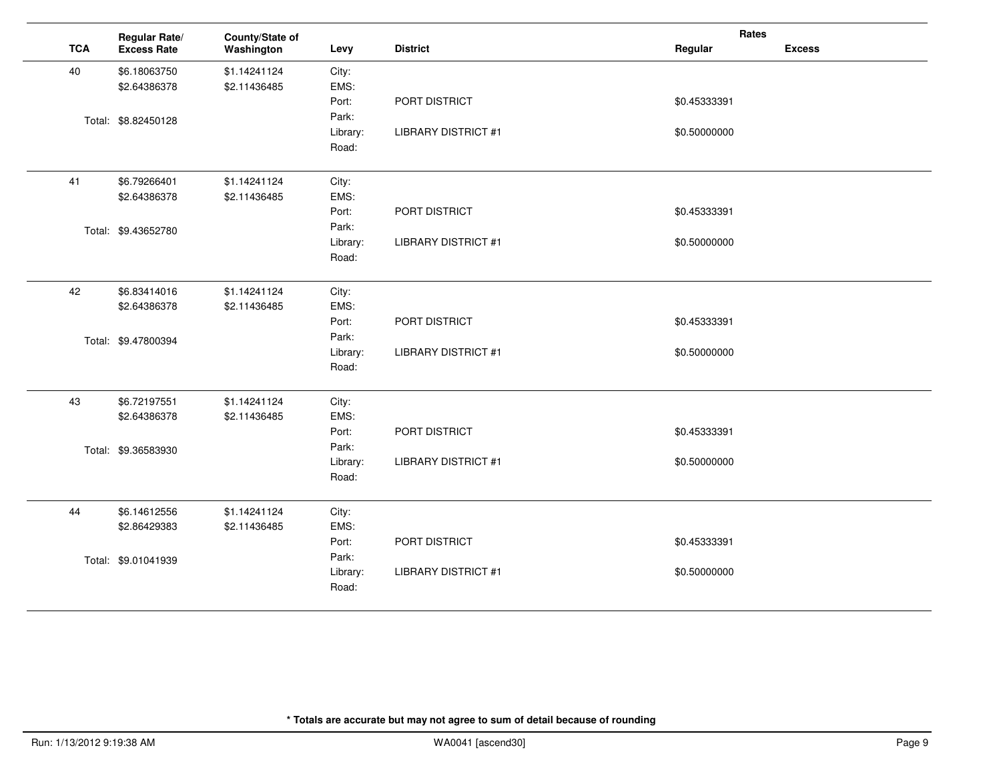|            | Regular Rate/       | County/State of |          |                            | Rates        |               |
|------------|---------------------|-----------------|----------|----------------------------|--------------|---------------|
| <b>TCA</b> | <b>Excess Rate</b>  | Washington      | Levy     | <b>District</b>            | Regular      | <b>Excess</b> |
| 40         | \$6.18063750        | \$1.14241124    | City:    |                            |              |               |
|            | \$2.64386378        | \$2.11436485    | EMS:     |                            |              |               |
|            |                     |                 | Port:    | PORT DISTRICT              | \$0.45333391 |               |
|            | Total: \$8.82450128 |                 | Park:    |                            |              |               |
|            |                     |                 | Library: | <b>LIBRARY DISTRICT #1</b> | \$0.50000000 |               |
|            |                     |                 | Road:    |                            |              |               |
| 41         | \$6.79266401        | \$1.14241124    | City:    |                            |              |               |
|            | \$2.64386378        | \$2.11436485    | EMS:     |                            |              |               |
|            |                     |                 | Port:    | PORT DISTRICT              | \$0.45333391 |               |
|            | Total: \$9.43652780 |                 | Park:    |                            |              |               |
|            |                     |                 | Library: | <b>LIBRARY DISTRICT #1</b> | \$0.50000000 |               |
|            |                     |                 | Road:    |                            |              |               |
| 42         | \$6.83414016        | \$1.14241124    | City:    |                            |              |               |
|            | \$2.64386378        | \$2.11436485    | EMS:     |                            |              |               |
|            |                     |                 | Port:    | PORT DISTRICT              | \$0.45333391 |               |
|            | Total: \$9.47800394 |                 | Park:    |                            |              |               |
|            |                     |                 | Library: | <b>LIBRARY DISTRICT #1</b> | \$0.50000000 |               |
|            |                     |                 | Road:    |                            |              |               |
| 43         | \$6.72197551        | \$1.14241124    | City:    |                            |              |               |
|            | \$2.64386378        | \$2.11436485    | EMS:     |                            |              |               |
|            |                     |                 | Port:    | PORT DISTRICT              | \$0.45333391 |               |
|            | Total: \$9.36583930 |                 | Park:    |                            |              |               |
|            |                     |                 | Library: | <b>LIBRARY DISTRICT #1</b> | \$0.50000000 |               |
|            |                     |                 | Road:    |                            |              |               |
| 44         | \$6.14612556        | \$1.14241124    | City:    |                            |              |               |
|            | \$2.86429383        | \$2.11436485    | EMS:     |                            |              |               |
|            |                     |                 | Port:    | PORT DISTRICT              | \$0.45333391 |               |
|            | Total: \$9.01041939 |                 | Park:    |                            |              |               |
|            |                     |                 | Library: | <b>LIBRARY DISTRICT #1</b> | \$0.50000000 |               |
|            |                     |                 | Road:    |                            |              |               |
|            |                     |                 |          |                            |              |               |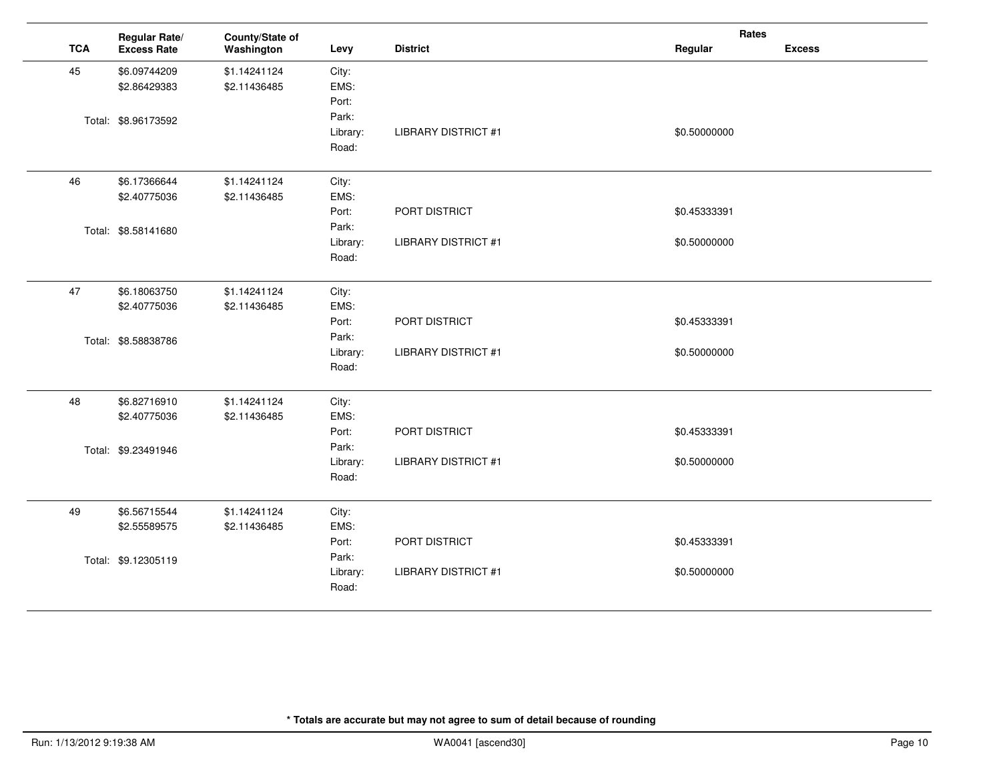|            | Regular Rate/       | County/State of |          |                            | Rates        |               |
|------------|---------------------|-----------------|----------|----------------------------|--------------|---------------|
| <b>TCA</b> | <b>Excess Rate</b>  | Washington      | Levy     | <b>District</b>            | Regular      | <b>Excess</b> |
| 45         | \$6.09744209        | \$1.14241124    | City:    |                            |              |               |
|            | \$2.86429383        | \$2.11436485    | EMS:     |                            |              |               |
|            |                     |                 | Port:    |                            |              |               |
|            | Total: \$8.96173592 |                 | Park:    |                            |              |               |
|            |                     |                 | Library: | <b>LIBRARY DISTRICT #1</b> | \$0.50000000 |               |
|            |                     |                 | Road:    |                            |              |               |
| 46         | \$6.17366644        | \$1.14241124    | City:    |                            |              |               |
|            | \$2.40775036        | \$2.11436485    | EMS:     |                            |              |               |
|            |                     |                 | Port:    | PORT DISTRICT              | \$0.45333391 |               |
|            | Total: \$8.58141680 |                 | Park:    |                            |              |               |
|            |                     |                 | Library: | <b>LIBRARY DISTRICT #1</b> | \$0.50000000 |               |
|            |                     |                 | Road:    |                            |              |               |
| 47         | \$6.18063750        | \$1.14241124    | City:    |                            |              |               |
|            | \$2.40775036        | \$2.11436485    | EMS:     |                            |              |               |
|            |                     |                 | Port:    | PORT DISTRICT              | \$0.45333391 |               |
|            | Total: \$8.58838786 |                 | Park:    |                            |              |               |
|            |                     |                 | Library: | <b>LIBRARY DISTRICT #1</b> | \$0.50000000 |               |
|            |                     |                 | Road:    |                            |              |               |
| 48         | \$6.82716910        | \$1.14241124    | City:    |                            |              |               |
|            | \$2.40775036        | \$2.11436485    | EMS:     |                            |              |               |
|            |                     |                 | Port:    | PORT DISTRICT              | \$0.45333391 |               |
|            | Total: \$9.23491946 |                 | Park:    |                            |              |               |
|            |                     |                 | Library: | <b>LIBRARY DISTRICT #1</b> | \$0.50000000 |               |
|            |                     |                 | Road:    |                            |              |               |
| 49         | \$6.56715544        | \$1.14241124    | City:    |                            |              |               |
|            | \$2.55589575        | \$2.11436485    | EMS:     |                            |              |               |
|            |                     |                 | Port:    | PORT DISTRICT              | \$0.45333391 |               |
|            | Total: \$9.12305119 |                 | Park:    |                            |              |               |
|            |                     |                 | Library: | <b>LIBRARY DISTRICT #1</b> | \$0.50000000 |               |
|            |                     |                 | Road:    |                            |              |               |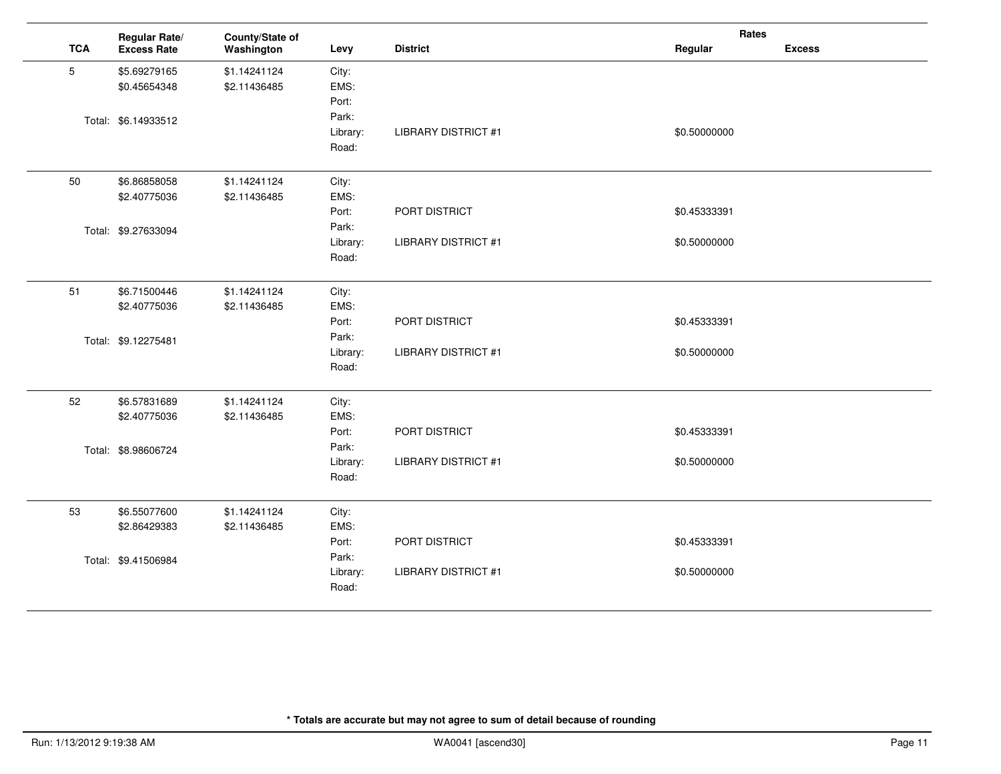|            | Regular Rate/       | County/State of |          |                            | Rates        |               |
|------------|---------------------|-----------------|----------|----------------------------|--------------|---------------|
| <b>TCA</b> | <b>Excess Rate</b>  | Washington      | Levy     | <b>District</b>            | Regular      | <b>Excess</b> |
| 5          | \$5.69279165        | \$1.14241124    | City:    |                            |              |               |
|            | \$0.45654348        | \$2.11436485    | EMS:     |                            |              |               |
|            |                     |                 | Port:    |                            |              |               |
|            | Total: \$6.14933512 |                 | Park:    |                            |              |               |
|            |                     |                 | Library: | <b>LIBRARY DISTRICT #1</b> | \$0.50000000 |               |
|            |                     |                 | Road:    |                            |              |               |
| 50         | \$6.86858058        | \$1.14241124    | City:    |                            |              |               |
|            | \$2.40775036        | \$2.11436485    | EMS:     |                            |              |               |
|            |                     |                 | Port:    | PORT DISTRICT              | \$0.45333391 |               |
|            | Total: \$9.27633094 |                 | Park:    |                            |              |               |
|            |                     |                 | Library: | <b>LIBRARY DISTRICT #1</b> | \$0.50000000 |               |
|            |                     |                 | Road:    |                            |              |               |
| 51         | \$6.71500446        | \$1.14241124    | City:    |                            |              |               |
|            | \$2.40775036        | \$2.11436485    | EMS:     |                            |              |               |
|            |                     |                 | Port:    | PORT DISTRICT              | \$0.45333391 |               |
|            | Total: \$9.12275481 |                 | Park:    |                            |              |               |
|            |                     |                 | Library: | <b>LIBRARY DISTRICT #1</b> | \$0.50000000 |               |
|            |                     |                 | Road:    |                            |              |               |
| 52         | \$6.57831689        | \$1.14241124    | City:    |                            |              |               |
|            | \$2.40775036        | \$2.11436485    | EMS:     |                            |              |               |
|            |                     |                 | Port:    | PORT DISTRICT              | \$0.45333391 |               |
|            | Total: \$8.98606724 |                 | Park:    |                            |              |               |
|            |                     |                 | Library: | <b>LIBRARY DISTRICT #1</b> | \$0.50000000 |               |
|            |                     |                 | Road:    |                            |              |               |
| 53         | \$6.55077600        | \$1.14241124    | City:    |                            |              |               |
|            | \$2.86429383        | \$2.11436485    | EMS:     |                            |              |               |
|            |                     |                 | Port:    | PORT DISTRICT              | \$0.45333391 |               |
|            | Total: \$9.41506984 |                 | Park:    |                            |              |               |
|            |                     |                 | Library: | <b>LIBRARY DISTRICT #1</b> | \$0.50000000 |               |
|            |                     |                 | Road:    |                            |              |               |

 $\overline{a}$